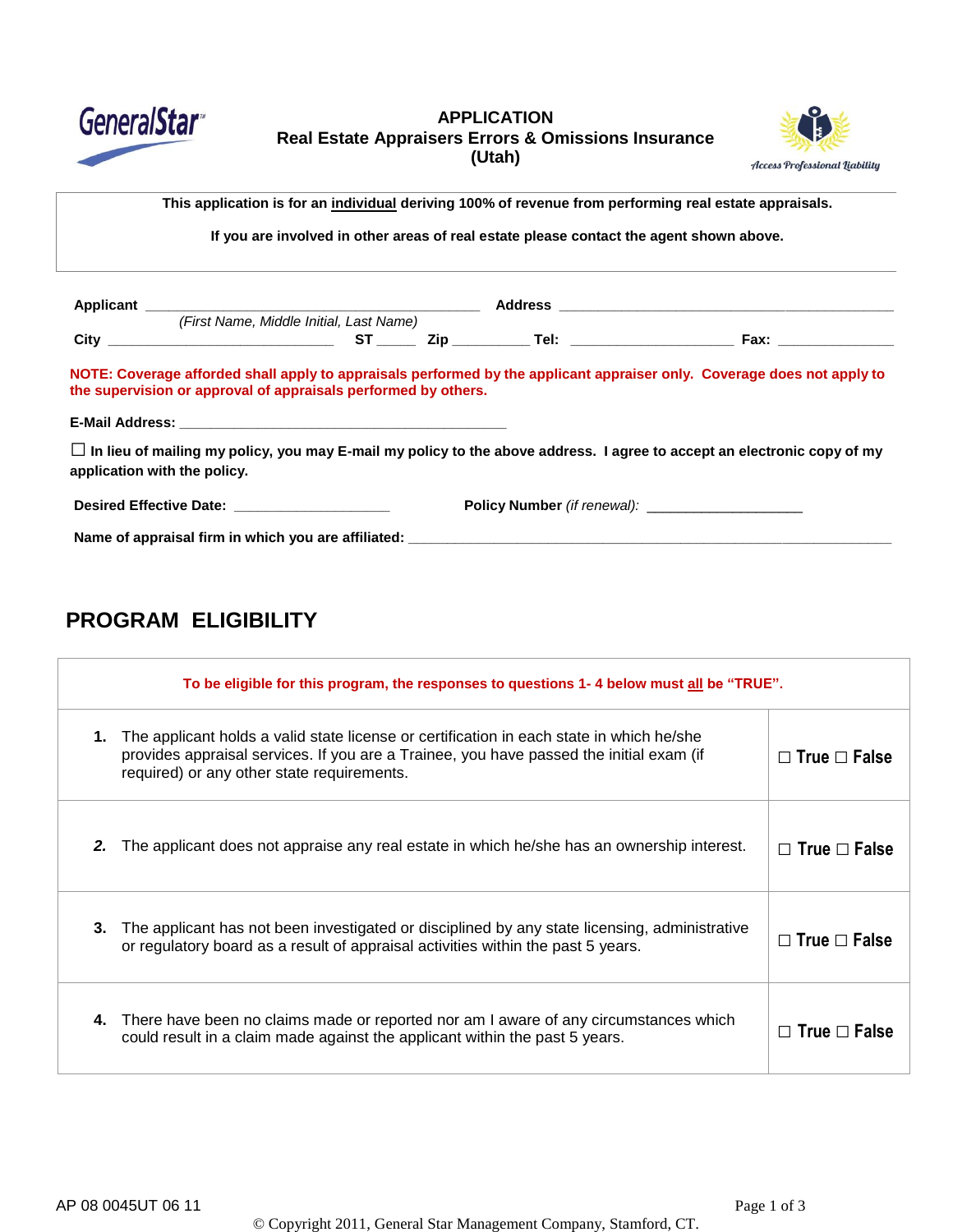

### **APPLICATION Real Estate Appraisers Errors & Omissions Insurance (Utah)**



This application is for an individual deriving 100% of revenue from performing real estate appraisals.

**If you are involved in other areas of real estate please contact the agent shown above.**

|                                                                | (First Name, Middle Initial, Last Name) |  |                                                                                                                                |
|----------------------------------------------------------------|-----------------------------------------|--|--------------------------------------------------------------------------------------------------------------------------------|
|                                                                |                                         |  |                                                                                                                                |
| the supervision or approval of appraisals performed by others. |                                         |  | NOTE: Coverage afforded shall apply to appraisals performed by the applicant appraiser only. Coverage does not apply to        |
|                                                                |                                         |  |                                                                                                                                |
| application with the policy.                                   |                                         |  | $\Box$ In lieu of mailing my policy, you may E-mail my policy to the above address. I agree to accept an electronic copy of my |
|                                                                |                                         |  |                                                                                                                                |
| Desired Effective Date: New York 1999                          |                                         |  |                                                                                                                                |

# **PROGRAM ELIGIBILITY**

|    | To be eligible for this program, the responses to questions 1-4 below must all be "TRUE".                                                                                                                                         |                          |  |  |
|----|-----------------------------------------------------------------------------------------------------------------------------------------------------------------------------------------------------------------------------------|--------------------------|--|--|
| 1. | The applicant holds a valid state license or certification in each state in which he/she<br>provides appraisal services. If you are a Trainee, you have passed the initial exam (if<br>required) or any other state requirements. | $\Box$ True $\Box$ False |  |  |
| 2. | The applicant does not appraise any real estate in which he/she has an ownership interest.                                                                                                                                        | $\Box$ True $\Box$ False |  |  |
| 3. | The applicant has not been investigated or disciplined by any state licensing, administrative<br>or regulatory board as a result of appraisal activities within the past 5 years.                                                 | $\Box$ True $\Box$ False |  |  |
| 4. | There have been no claims made or reported nor am I aware of any circumstances which<br>could result in a claim made against the applicant within the past 5 years.                                                               | $\Box$ True $\Box$ False |  |  |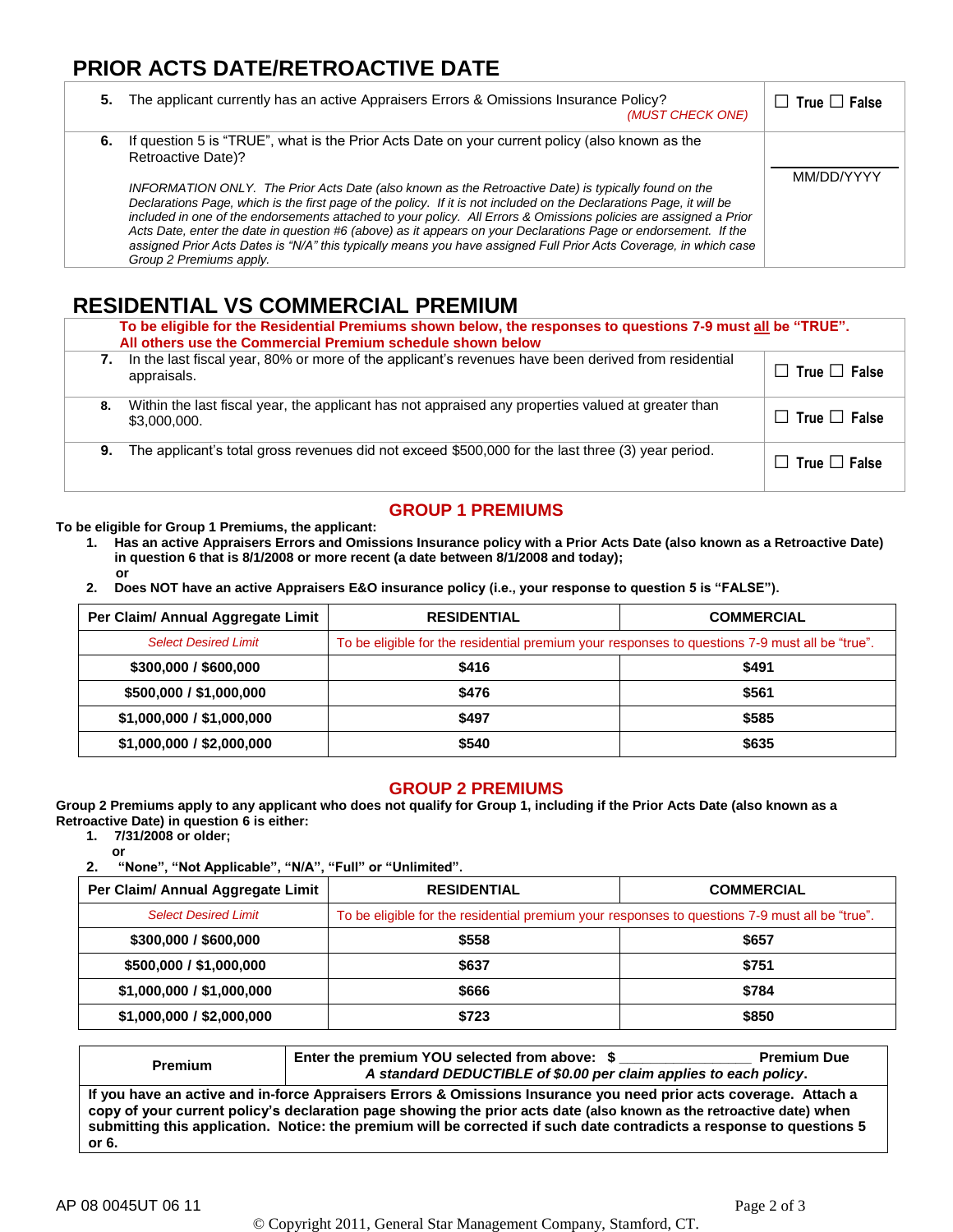## **PRIOR ACTS DATE/RETROACTIVE DATE**

| 5. | The applicant currently has an active Appraisers Errors & Omissions Insurance Policy?<br>(MUST CHECK ONE)                                                                                                                                                                                                                                                                                                                                                                                                                                                                                                                                                                                                                                       | $\Box$ True $\Box$ False |
|----|-------------------------------------------------------------------------------------------------------------------------------------------------------------------------------------------------------------------------------------------------------------------------------------------------------------------------------------------------------------------------------------------------------------------------------------------------------------------------------------------------------------------------------------------------------------------------------------------------------------------------------------------------------------------------------------------------------------------------------------------------|--------------------------|
|    | 6. If question 5 is "TRUE", what is the Prior Acts Date on your current policy (also known as the<br>Retroactive Date)?<br>INFORMATION ONLY. The Prior Acts Date (also known as the Retroactive Date) is typically found on the<br>Declarations Page, which is the first page of the policy. If it is not included on the Declarations Page, it will be<br>included in one of the endorsements attached to your policy. All Errors & Omissions policies are assigned a Prior<br>Acts Date, enter the date in question #6 (above) as it appears on your Declarations Page or endorsement. If the<br>assigned Prior Acts Dates is "N/A" this typically means you have assigned Full Prior Acts Coverage, in which case<br>Group 2 Premiums apply. | MM/DD/YYYY               |

## **RESIDENTIAL VS COMMERCIAL PREMIUM**

|    | To be eligible for the Residential Premiums shown below, the responses to questions 7-9 must all be "TRUE".<br>All others use the Commercial Premium schedule shown below |                          |  |  |
|----|---------------------------------------------------------------------------------------------------------------------------------------------------------------------------|--------------------------|--|--|
| 7. | In the last fiscal year, 80% or more of the applicant's revenues have been derived from residential<br>appraisals.                                                        | $\Box$ True $\Box$ False |  |  |
| 8. | Within the last fiscal year, the applicant has not appraised any properties valued at greater than<br>\$3,000,000.                                                        | $\Box$ True $\Box$ False |  |  |
| 9. | The applicant's total gross revenues did not exceed \$500,000 for the last three (3) year period.                                                                         | $\Box$ True $\Box$ False |  |  |

## **GROUP 1 PREMIUMS**

**To be eligible for Group 1 Premiums, the applicant:**

- **1. Has an active Appraisers Errors and Omissions Insurance policy with a Prior Acts Date (also known as a Retroactive Date) in question 6 that is 8/1/2008 or more recent (a date between 8/1/2008 and today); or**
- **2. Does NOT have an active Appraisers E&O insurance policy (i.e., your response to question 5 is "FALSE").**

| Per Claim/ Annual Aggregate Limit | <b>RESIDENTIAL</b>                                                                             | <b>COMMERCIAL</b> |  |
|-----------------------------------|------------------------------------------------------------------------------------------------|-------------------|--|
| <b>Select Desired Limit</b>       | To be eligible for the residential premium your responses to questions 7-9 must all be "true". |                   |  |
| \$300,000 / \$600,000             | \$416                                                                                          | \$491             |  |
| \$500,000 / \$1,000,000           | \$476                                                                                          | \$561             |  |
| \$1,000,000 / \$1,000,000         | \$497                                                                                          | \$585             |  |
| \$1,000,000 / \$2,000,000         | \$540                                                                                          | \$635             |  |

#### **GROUP 2 PREMIUMS**

**Group 2 Premiums apply to any applicant who does not qualify for Group 1, including if the Prior Acts Date (also known as a Retroactive Date) in question 6 is either:**

**1. 7/31/2008 or older;**

**or 2. "None", "Not Applicable", "N/A", "Full" or "Unlimited".**

| Per Claim/ Annual Aggregate Limit | <b>RESIDENTIAL</b>                                                                             | <b>COMMERCIAL</b> |  |
|-----------------------------------|------------------------------------------------------------------------------------------------|-------------------|--|
| <b>Select Desired Limit</b>       | To be eligible for the residential premium your responses to questions 7-9 must all be "true". |                   |  |
| \$300,000 / \$600,000             | \$558                                                                                          | \$657             |  |
| \$500,000 / \$1,000,000           | \$637                                                                                          | \$751             |  |
| \$1,000,000 / \$1,000,000         | \$666                                                                                          | \$784             |  |
| \$1,000,000 / \$2,000,000         | \$723                                                                                          | \$850             |  |

| <b>Premium</b>                                                                                                                                                                                                                                                                                                                                                              | Enter the premium YOU selected from above: \$<br>A standard DEDUCTIBLE of \$0.00 per claim applies to each policy. | <b>Premium Due</b> |
|-----------------------------------------------------------------------------------------------------------------------------------------------------------------------------------------------------------------------------------------------------------------------------------------------------------------------------------------------------------------------------|--------------------------------------------------------------------------------------------------------------------|--------------------|
| If you have an active and in-force Appraisers Errors & Omissions Insurance you need prior acts coverage. Attach a<br>copy of your current policy's declaration page showing the prior acts date (also known as the retroactive date) when<br>submitting this application. Notice: the premium will be corrected if such date contradicts a response to questions 5<br>or 6. |                                                                                                                    |                    |